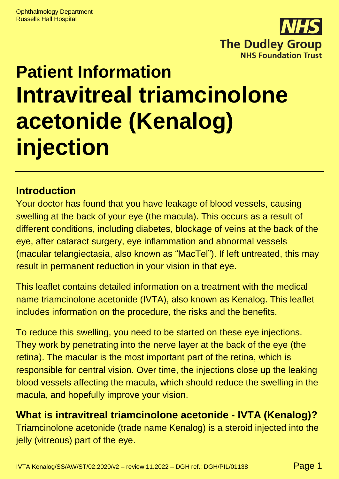

# **Patient Information Intravitreal triamcinolone acetonide (Kenalog) injection**

### **Introduction**

Your doctor has found that you have leakage of blood vessels, causing swelling at the back of your eye (the macula). This occurs as a result of different conditions, including diabetes, blockage of veins at the back of the eye, after cataract surgery, eye inflammation and abnormal vessels (macular telangiectasia, also known as "MacTel"). If left untreated, this may result in permanent reduction in your vision in that eye.

This leaflet contains detailed information on a treatment with the medical name triamcinolone acetonide (IVTA), also known as Kenalog. This leaflet includes information on the procedure, the risks and the benefits.

To reduce this swelling, you need to be started on these eye injections. They work by penetrating into the nerve layer at the back of the eye (the retina). The macular is the most important part of the retina, which is responsible for central vision. Over time, the injections close up the leaking blood vessels affecting the macula, which should reduce the swelling in the macula, and hopefully improve your vision.

### **What is intravitreal triamcinolone acetonide - IVTA (Kenalog)?**

Triamcinolone acetonide (trade name Kenalog) is a steroid injected into the jelly (vitreous) part of the eye.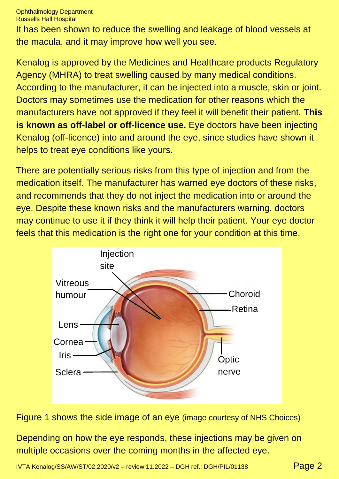It has been shown to reduce the swelling and leakage of blood vessels at the macula, and it may improve how well you see.

Kenalog is approved by the Medicines and Healthcare products Regulatory Agency (MHRA) to treat swelling caused by many medical conditions. According to the manufacturer, it can be injected into a muscle, skin or joint. Doctors may sometimes use the medication for other reasons which the manufacturers have not approved if they feel it will benefit their patient. **This is known as off-label or off-licence use.** Eye doctors have been injecting Kenalog (off-licence) into and around the eye, since studies have shown it helps to treat eye conditions like yours.

There are potentially serious risks from this type of injection and from the medication itself. The manufacturer has warned eye doctors of these risks, and recommends that they do not inject the medication into or around the eye. Despite these known risks and the manufacturers warning, doctors may continue to use it if they think it will help their patient. Your eye doctor feels that this medication is the right one for your condition at this time.



Figure 1 shows the side image of an eye (image courtesy of NHS Choices)

Depending on how the eye responds, these injections may be given on multiple occasions over the coming months in the affected eye.

IVTA Kenalog/SS/AW/ST/02.2020/v2 – review 11.2022 – DGH ref.: DGH/PIL/01138 Page 2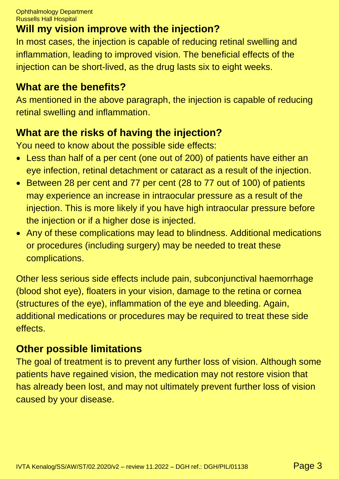# **Will my vision improve with the injection?**

In most cases, the injection is capable of reducing retinal swelling and inflammation, leading to improved vision. The beneficial effects of the injection can be short-lived, as the drug lasts six to eight weeks.

#### **What are the benefits?**

As mentioned in the above paragraph, the injection is capable of reducing retinal swelling and inflammation.

# **What are the risks of having the injection?**

You need to know about the possible side effects:

- Less than half of a per cent (one out of 200) of patients have either an eye infection, retinal detachment or cataract as a result of the injection.
- Between 28 per cent and 77 per cent (28 to 77 out of 100) of patients may experience an increase in intraocular pressure as a result of the injection. This is more likely if you have high intraocular pressure before the injection or if a higher dose is injected.
- Any of these complications may lead to blindness. Additional medications or procedures (including surgery) may be needed to treat these complications.

Other less serious side effects include pain, subconjunctival haemorrhage (blood shot eye), floaters in your vision, damage to the retina or cornea (structures of the eye), inflammation of the eye and bleeding. Again, additional medications or procedures may be required to treat these side effects.

### **Other possible limitations**

The goal of treatment is to prevent any further loss of vision. Although some patients have regained vision, the medication may not restore vision that has already been lost, and may not ultimately prevent further loss of vision caused by your disease.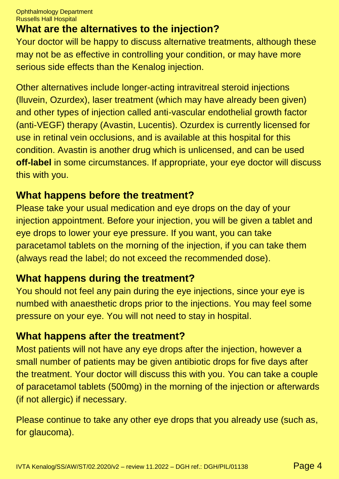# **What are the alternatives to the injection?**

Your doctor will be happy to discuss alternative treatments, although these may not be as effective in controlling your condition, or may have more serious side effects than the Kenalog injection.

Other alternatives include longer-acting intravitreal steroid injections (lluvein, Ozurdex), laser treatment (which may have already been given) and other types of injection called anti-vascular endothelial growth factor (anti-VEGF) therapy (Avastin, Lucentis). Ozurdex is currently licensed for use in retinal vein occlusions, and is available at this hospital for this condition. Avastin is another drug which is unlicensed, and can be used **off-label** in some circumstances. If appropriate, your eye doctor will discuss this with you.

#### **What happens before the treatment?**

Please take your usual medication and eye drops on the day of your injection appointment. Before your injection, you will be given a tablet and eye drops to lower your eye pressure. If you want, you can take paracetamol tablets on the morning of the injection, if you can take them (always read the label; do not exceed the recommended dose).

# **What happens during the treatment?**

You should not feel any pain during the eye injections, since your eye is numbed with anaesthetic drops prior to the injections. You may feel some pressure on your eye. You will not need to stay in hospital.

### **What happens after the treatment?**

Most patients will not have any eye drops after the injection, however a small number of patients may be given antibiotic drops for five days after the treatment. Your doctor will discuss this with you. You can take a couple of paracetamol tablets (500mg) in the morning of the injection or afterwards (if not allergic) if necessary.

Please continue to take any other eye drops that you already use (such as, for glaucoma).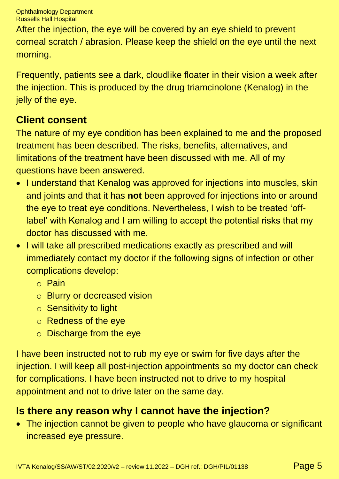After the injection, the eye will be covered by an eye shield to prevent corneal scratch / abrasion. Please keep the shield on the eye until the next morning.

Frequently, patients see a dark, cloudlike floater in their vision a week after the injection. This is produced by the drug triamcinolone (Kenalog) in the jelly of the eye.

# **Client consent**

The nature of my eye condition has been explained to me and the proposed treatment has been described. The risks, benefits, alternatives, and limitations of the treatment have been discussed with me. All of my questions have been answered.

- I understand that Kenalog was approved for injections into muscles, skin and joints and that it has **not** been approved for injections into or around the eye to treat eye conditions. Nevertheless, I wish to be treated 'offlabel' with Kenalog and I am willing to accept the potential risks that my doctor has discussed with me.
- I will take all prescribed medications exactly as prescribed and will immediately contact my doctor if the following signs of infection or other complications develop:
	- o Pain
	- o Blurry or decreased vision
	- o Sensitivity to light
	- o Redness of the eye
	- o Discharge from the eye

I have been instructed not to rub my eye or swim for five days after the injection. I will keep all post-injection appointments so my doctor can check for complications. I have been instructed not to drive to my hospital appointment and not to drive later on the same day.

# **Is there any reason why I cannot have the injection?**

• The injection cannot be given to people who have glaucoma or significant increased eye pressure.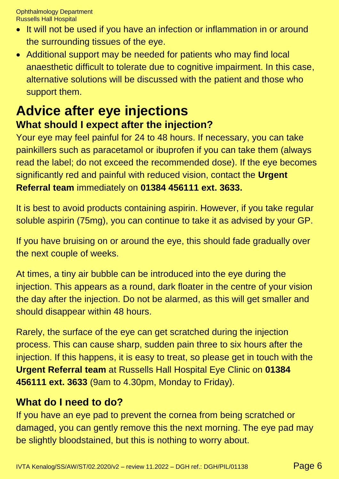- It will not be used if you have an infection or inflammation in or around the surrounding tissues of the eye.
- Additional support may be needed for patients who may find local anaesthetic difficult to tolerate due to cognitive impairment. In this case, alternative solutions will be discussed with the patient and those who support them.

# **Advice after eye injections What should I expect after the injection?**

Your eye may feel painful for 24 to 48 hours. If necessary, you can take painkillers such as paracetamol or ibuprofen if you can take them (always read the label; do not exceed the recommended dose). If the eye becomes significantly red and painful with reduced vision, contact the **Urgent Referral team** immediately on **01384 456111 ext. 3633.**

It is best to avoid products containing aspirin. However, if you take regular soluble aspirin (75mg), you can continue to take it as advised by your GP.

If you have bruising on or around the eye, this should fade gradually over the next couple of weeks.

At times, a tiny air bubble can be introduced into the eye during the injection. This appears as a round, dark floater in the centre of your vision the day after the injection. Do not be alarmed, as this will get smaller and should disappear within 48 hours.

Rarely, the surface of the eye can get scratched during the injection process. This can cause sharp, sudden pain three to six hours after the injection. If this happens, it is easy to treat, so please get in touch with the **Urgent Referral team** at Russells Hall Hospital Eye Clinic on **01384 456111 ext. 3633** (9am to 4.30pm, Monday to Friday).

#### **What do I need to do?**

If you have an eye pad to prevent the cornea from being scratched or damaged, you can gently remove this the next morning. The eye pad may be slightly bloodstained, but this is nothing to worry about.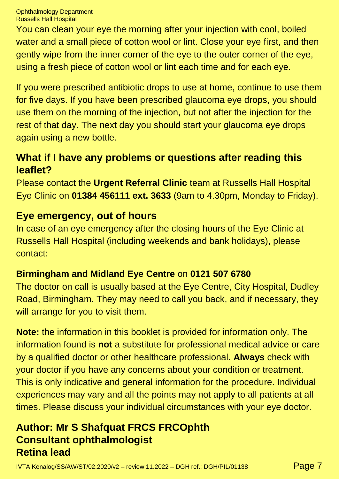You can clean your eye the morning after your injection with cool, boiled water and a small piece of cotton wool or lint. Close your eye first, and then gently wipe from the inner corner of the eye to the outer corner of the eye, using a fresh piece of cotton wool or lint each time and for each eye.

If you were prescribed antibiotic drops to use at home, continue to use them for five days. If you have been prescribed glaucoma eye drops, you should use them on the morning of the injection, but not after the injection for the rest of that day. The next day you should start your glaucoma eye drops again using a new bottle.

#### **What if I have any problems or questions after reading this leaflet?**

Please contact the **Urgent Referral Clinic** team at Russells Hall Hospital Eye Clinic on **01384 456111 ext. 3633** (9am to 4.30pm, Monday to Friday).

#### **Eye emergency, out of hours**

In case of an eye emergency after the closing hours of the Eye Clinic at Russells Hall Hospital (including weekends and bank holidays), please contact:

#### **Birmingham and Midland Eye Centre** on **0121 507 6780**

The doctor on call is usually based at the Eye Centre, City Hospital, Dudley Road, Birmingham. They may need to call you back, and if necessary, they will arrange for you to visit them.

**Note:** the information in this booklet is provided for information only. The information found is **not** a substitute for professional medical advice or care by a qualified doctor or other healthcare professional. **Always** check with your doctor if you have any concerns about your condition or treatment. This is only indicative and general information for the procedure. Individual experiences may vary and all the points may not apply to all patients at all times. Please discuss your individual circumstances with your eye doctor.

### **Author: Mr S Shafquat FRCS FRCOphth Consultant ophthalmologist Retina lead**